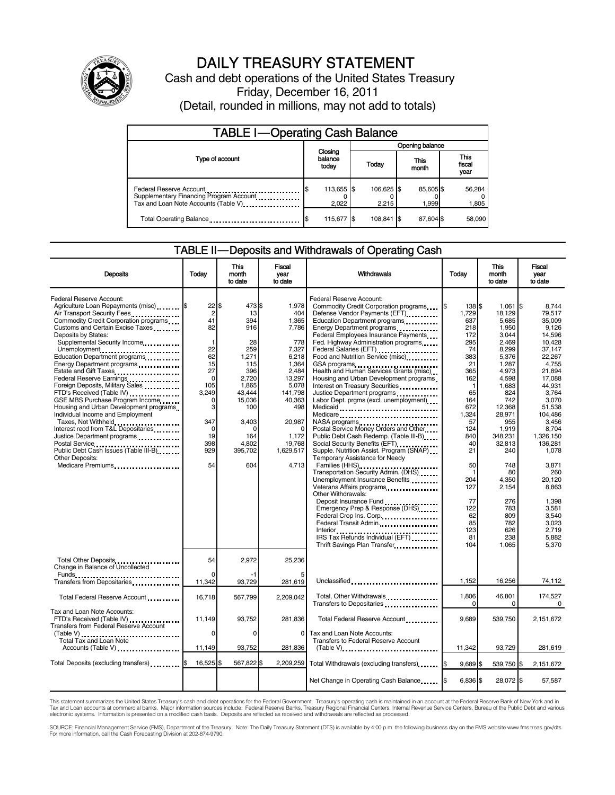

# DAILY TREASURY STATEMENT

Cash and debt operations of the United States Treasury Friday, December 16, 2011 (Detail, rounded in millions, may not add to totals)

| <b>TABLE I-Operating Cash Balance</b>                                                                       |                             |                     |                   |                               |  |  |  |
|-------------------------------------------------------------------------------------------------------------|-----------------------------|---------------------|-------------------|-------------------------------|--|--|--|
|                                                                                                             |                             | Opening balance     |                   |                               |  |  |  |
| Type of account                                                                                             | Closing<br>balance<br>today | Today               | This<br>month     | <b>This</b><br>fiscal<br>year |  |  |  |
| Federal Reserve Account<br>Supplementary Financing Program Account<br>Tax and Loan Note Accounts (Table V). | 113,655 \$<br>2,022         | 106,625 \$<br>2.215 | 85,605\$<br>1.999 | 56,284<br>1,805               |  |  |  |
| Total Operating Balance                                                                                     | 115,677 \$                  | 108.841             | 87,604 \$         | 58.090                        |  |  |  |

### TABLE II — Deposits and Withdrawals of Operating Cash

| <b>Deposits</b>                                                                                                                                                                                                                                                                                                                                                                                                                                                                                                                                                                                                                                                                                                                                 | Todav                                                                                                                                                                    | <b>This</b><br>month<br>to date                                                                                                                                    | Fiscal<br>year<br>to date                                                                                                                                                               | Withdrawals                                                                                                                                                                                                                                                                                                                                                                                                                                                                                                                                                                                                                                                                                                                                                                                                                                                                                                                                                                                                                         | Todav                                                                                                                                                                                                                         | <b>This</b><br>month<br>to date                                                                                                                                                                                                                               | <b>Fiscal</b><br>vear<br>to date                                                                                                                                                                                                                                                            |
|-------------------------------------------------------------------------------------------------------------------------------------------------------------------------------------------------------------------------------------------------------------------------------------------------------------------------------------------------------------------------------------------------------------------------------------------------------------------------------------------------------------------------------------------------------------------------------------------------------------------------------------------------------------------------------------------------------------------------------------------------|--------------------------------------------------------------------------------------------------------------------------------------------------------------------------|--------------------------------------------------------------------------------------------------------------------------------------------------------------------|-----------------------------------------------------------------------------------------------------------------------------------------------------------------------------------------|-------------------------------------------------------------------------------------------------------------------------------------------------------------------------------------------------------------------------------------------------------------------------------------------------------------------------------------------------------------------------------------------------------------------------------------------------------------------------------------------------------------------------------------------------------------------------------------------------------------------------------------------------------------------------------------------------------------------------------------------------------------------------------------------------------------------------------------------------------------------------------------------------------------------------------------------------------------------------------------------------------------------------------------|-------------------------------------------------------------------------------------------------------------------------------------------------------------------------------------------------------------------------------|---------------------------------------------------------------------------------------------------------------------------------------------------------------------------------------------------------------------------------------------------------------|---------------------------------------------------------------------------------------------------------------------------------------------------------------------------------------------------------------------------------------------------------------------------------------------|
| Federal Reserve Account:<br>Agriculture Loan Repayments (misc) <b>S</b><br>Air Transport Security Fees<br>Commodity Credit Corporation programs<br>Customs and Certain Excise Taxes<br>Deposits by States:<br>Supplemental Security Income<br>Unemployment<br>Education Department programs<br>Energy Department programs<br>Estate and Gift Taxes<br>Federal Reserve Earnings<br>Foreign Deposits, Military Sales<br>FTD's Received (Table IV)<br>GSE MBS Purchase Program Income<br>Housing and Urban Development programs<br>Individual Income and Employment<br>Taxes, Not Withheld<br>Interest recd from T&L Depositaries<br>Justice Department programs<br>Public Debt Cash Issues (Table III-B).<br>Other Deposits:<br>Medicare Premiums | 22<br>$\overline{2}$<br>41<br>82<br>$\mathbf{1}$<br>22<br>62<br>15<br>27<br>$\mathbf 0$<br>105<br>3.249<br>$\Omega$<br>3<br>347<br>$\mathbf 0$<br>19<br>398<br>929<br>54 | \$.<br>473 \$<br>13<br>394<br>916<br>28<br>259<br>1,271<br>115<br>396<br>2,720<br>1,865<br>43.444<br>15,036<br>100<br>3.403<br>n<br>164<br>4,802<br>395,702<br>604 | 1,978<br>404<br>1,365<br>7,786<br>778<br>7,327<br>6,218<br>1,364<br>2.484<br>13,297<br>5,078<br>141,798<br>40,363<br>498<br>20,987<br>$\Omega$<br>1,172<br>19,768<br>1,629,517<br>4,713 | Federal Reserve Account:<br>Commodity Credit Corporation programs<br>Defense Vendor Payments (EFT)<br>Education Department programs<br>Energy Department programs<br>Federal Employees Insurance Payments<br>Fed. Highway Administration programs<br>Federal Salaries (EFT)<br>Federal Salaries (EFT)<br>1999<br>Food and Nutrition Service (misc)<br>GSA programs<br>Health and Human Services Grants (misc)<br>Housing and Urban Development programs<br>Interest on Treasury Securities<br>Justice Department programs<br>Labor Dept. prgms (excl. unemployment)<br>Medicaid<br>Medicare<br>Postal Service Money Orders and Other<br>Public Debt Cash Redemp. (Table III-B)<br>Social Security Benefits (EFT)<br>Supple. Nutrition Assist. Program (SNAP)<br>Temporary Assistance for Needy<br>Families (HHS)<br>Transportation Security Admin. (DHS)<br>Unemployment Insurance Benefits<br>Other Withdrawals:<br>Deposit Insurance Fund<br>Emergency Prep & Response (DHS)<br>Federal Crop Ins. Corp.<br>Federal Transit Admin. | 138 \$<br>1.729<br>637<br>218<br>172<br>295<br>74<br>383<br>21<br>365<br>162<br>$\mathbf{1}$<br>65<br>164<br>672<br>1,324<br>57<br>124<br>840<br>40<br>21<br>50<br>$\mathbf{1}$<br>204<br>127<br>77<br>122<br>62<br>85<br>123 | $1.061$ S<br>18.129<br>5,685<br>1,950<br>3,044<br>2.469<br>8,299<br>5,376<br>1,287<br>4,973<br>4,598<br>1,683<br>824<br>742<br>12,368<br>28,971<br>955<br>1,919<br>348,231<br>32,813<br>240<br>748<br>80<br>4.350<br>2,154<br>276<br>783<br>809<br>782<br>626 | 8.744<br>79.517<br>35,009<br>9,126<br>14,596<br>10.428<br>37,147<br>22.267<br>4.755<br>21.894<br>17.088<br>44.931<br>3.764<br>3,070<br>51,538<br>104.486<br>3.456<br>8,704<br>1,326,150<br>136,281<br>1.078<br>3,871<br>260<br>20.120<br>8,863<br>1,398<br>3,581<br>3,540<br>3.023<br>2.719 |
|                                                                                                                                                                                                                                                                                                                                                                                                                                                                                                                                                                                                                                                                                                                                                 |                                                                                                                                                                          |                                                                                                                                                                    |                                                                                                                                                                                         | IRS Tax Refunds Individual (EFT) [1999]<br>Thrift Savings Plan Transfer                                                                                                                                                                                                                                                                                                                                                                                                                                                                                                                                                                                                                                                                                                                                                                                                                                                                                                                                                             | 81<br>104                                                                                                                                                                                                                     | 238<br>1,065                                                                                                                                                                                                                                                  | 5,882<br>5.370                                                                                                                                                                                                                                                                              |
| Total Other Deposits<br>Change in Balance of Uncollected<br>Funds __                                                                                                                                                                                                                                                                                                                                                                                                                                                                                                                                                                                                                                                                            | 54<br>$\Omega$                                                                                                                                                           | 2.972                                                                                                                                                              | 25.236                                                                                                                                                                                  |                                                                                                                                                                                                                                                                                                                                                                                                                                                                                                                                                                                                                                                                                                                                                                                                                                                                                                                                                                                                                                     |                                                                                                                                                                                                                               |                                                                                                                                                                                                                                                               |                                                                                                                                                                                                                                                                                             |
| Transfers from Depositaries<br>                                                                                                                                                                                                                                                                                                                                                                                                                                                                                                                                                                                                                                                                                                                 | 11,342                                                                                                                                                                   | 93,729                                                                                                                                                             | 281,619                                                                                                                                                                                 | Unclassified                                                                                                                                                                                                                                                                                                                                                                                                                                                                                                                                                                                                                                                                                                                                                                                                                                                                                                                                                                                                                        | 1,152                                                                                                                                                                                                                         | 16,256                                                                                                                                                                                                                                                        | 74,112                                                                                                                                                                                                                                                                                      |
| Total Federal Reserve Account                                                                                                                                                                                                                                                                                                                                                                                                                                                                                                                                                                                                                                                                                                                   | 16,718                                                                                                                                                                   | 567,799                                                                                                                                                            | 2,209,042                                                                                                                                                                               | Total, Other Withdrawals<br>Transfers to Depositaries                                                                                                                                                                                                                                                                                                                                                                                                                                                                                                                                                                                                                                                                                                                                                                                                                                                                                                                                                                               | 1,806<br>$\Omega$                                                                                                                                                                                                             | 46,801<br>0                                                                                                                                                                                                                                                   | 174,527<br>$\Omega$                                                                                                                                                                                                                                                                         |
| Tax and Loan Note Accounts:<br>FTD's Received (Table IV)<br>Transfers from Federal Reserve Account                                                                                                                                                                                                                                                                                                                                                                                                                                                                                                                                                                                                                                              | 11.149                                                                                                                                                                   | 93,752                                                                                                                                                             | 281,836                                                                                                                                                                                 | Total Federal Reserve Account                                                                                                                                                                                                                                                                                                                                                                                                                                                                                                                                                                                                                                                                                                                                                                                                                                                                                                                                                                                                       | 9.689                                                                                                                                                                                                                         | 539,750                                                                                                                                                                                                                                                       | 2,151,672                                                                                                                                                                                                                                                                                   |
| (Table V)<br>Total Tax and Loan Note<br>Accounts (Table V)                                                                                                                                                                                                                                                                                                                                                                                                                                                                                                                                                                                                                                                                                      | $\Omega$<br>11,149                                                                                                                                                       | $\Omega$<br>93,752                                                                                                                                                 | $\Omega$<br>281,836                                                                                                                                                                     | Tax and Loan Note Accounts:<br>Transfers to Federal Reserve Account<br>$(Table V)$                                                                                                                                                                                                                                                                                                                                                                                                                                                                                                                                                                                                                                                                                                                                                                                                                                                                                                                                                  | 11,342                                                                                                                                                                                                                        | 93,729                                                                                                                                                                                                                                                        | 281,619                                                                                                                                                                                                                                                                                     |
| Total Deposits (excluding transfers)                                                                                                                                                                                                                                                                                                                                                                                                                                                                                                                                                                                                                                                                                                            | 16,525                                                                                                                                                                   | 567,822                                                                                                                                                            | 2,209,259                                                                                                                                                                               | Total Withdrawals (excluding transfers) [\$                                                                                                                                                                                                                                                                                                                                                                                                                                                                                                                                                                                                                                                                                                                                                                                                                                                                                                                                                                                         | $9,689$ \$                                                                                                                                                                                                                    | 539,750 \$                                                                                                                                                                                                                                                    | 2,151,672                                                                                                                                                                                                                                                                                   |
|                                                                                                                                                                                                                                                                                                                                                                                                                                                                                                                                                                                                                                                                                                                                                 |                                                                                                                                                                          |                                                                                                                                                                    |                                                                                                                                                                                         | Net Change in Operating Cash Balance                                                                                                                                                                                                                                                                                                                                                                                                                                                                                                                                                                                                                                                                                                                                                                                                                                                                                                                                                                                                | 6,836 \$                                                                                                                                                                                                                      | 28,072 \$                                                                                                                                                                                                                                                     | 57,587                                                                                                                                                                                                                                                                                      |

This statement summarizes the United States Treasury's cash and debt operations for the Federal Government. Treasury's operating cash is maintained in an account at the Federal Reserve Bank of New York and in<br>Tax and Loan

SOURCE: Financial Management Service (FMS), Department of the Treasury. Note: The Daily Treasury Statement (DTS) is available by 4:00 p.m. the following business day on the FMS website www.fms.treas.gov/dts.<br>For more infor